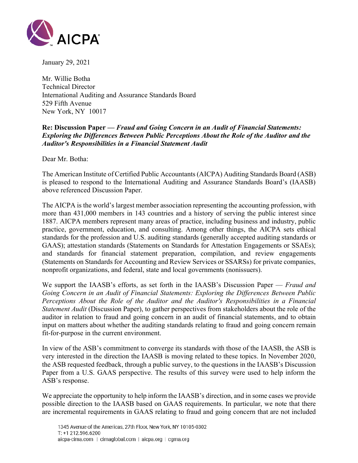

January 29, 2021

Mr. Willie Botha Technical Director International Auditing and Assurance Standards Board 529 Fifth Avenue New York, NY 10017

# **Re: Discussion Paper —** *Fraud and Going Concern in an Audit of Financial Statements: Exploring the Differences Between Public Perceptions About the Role of the Auditor and the Auditor's Responsibilities in a Financial Statement Audit*

Dear Mr. Botha:

The American Institute of Certified Public Accountants (AICPA) Auditing Standards Board (ASB) is pleased to respond to the International Auditing and Assurance Standards Board's (IAASB) above referenced Discussion Paper.

The AICPA is the world's largest member association representing the accounting profession, with more than 431,000 members in 143 countries and a history of serving the public interest since 1887. AICPA members represent many areas of practice, including business and industry, public practice, government, education, and consulting. Among other things, the AICPA sets ethical standards for the profession and U.S. auditing standards (generally accepted auditing standards or GAAS); attestation standards (Statements on Standards for Attestation Engagements or SSAEs); and standards for financial statement preparation, compilation, and review engagements (Statements on Standards for Accounting and Review Services or SSARSs) for private companies, nonprofit organizations, and federal, state and local governments (nonissuers).

We support the IAASB's efforts, as set forth in the IAASB's Discussion Paper — *Fraud and Going Concern in an Audit of Financial Statements: Exploring the Differences Between Public Perceptions About the Role of the Auditor and the Auditor's Responsibilities in a Financial Statement Audit* (Discussion Paper), to gather perspectives from stakeholders about the role of the auditor in relation to fraud and going concern in an audit of financial statements, and to obtain input on matters about whether the auditing standards relating to fraud and going concern remain fit-for-purpose in the current environment.

In view of the ASB's commitment to converge its standards with those of the IAASB, the ASB is very interested in the direction the IAASB is moving related to these topics. In November 2020, the ASB requested feedback, through a public survey, to the questions in the IAASB's Discussion Paper from a U.S. GAAS perspective. The results of this survey were used to help inform the ASB's response.

We appreciate the opportunity to help inform the IAASB's direction, and in some cases we provide possible direction to the IAASB based on GAAS requirements. In particular, we note that there are incremental requirements in GAAS relating to fraud and going concern that are not included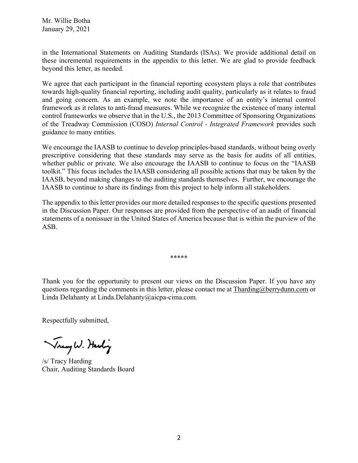in the International Statements on Auditing Standards (ISAs). We provide additional detail on these incremental requirements in the appendix to this letter. We are glad to provide feedback beyond this letter, as needed.

We agree that each participant in the financial reporting ecosystem plays a role that contributes towards high-quality financial reporting, including audit quality, particularly as it relates to fraud and going concern. As an example, we note the importance of an entity's internal control framework as it relates to anti-fraud measures. While we recognize the existence of many internal control frameworks we observe that in the U.S., the 2013 Committee of Sponsoring Organizations of the Treadway Commission (COSO) *Internal Control - Integrated Framework* provides such guidance to many entities.

We encourage the IAASB to continue to develop principles-based standards, without being overly prescriptive considering that these standards may serve as the basis for audits of all entities, whether public or private. We also encourage the IAASB to continue to focus on the "IAASB toolkit." This focus includes the IAASB considering all possible actions that may be taken by the IAASB, beyond making changes to the auditing standards themselves. Further, we encourage the IAASB to continue to share its findings from this project to help inform all stakeholders.

The appendix to this letter provides our more detailed responses to the specific questions presented in the Discussion Paper. Our responses are provided from the perspective of an audit of financial statements of a nonissuer in the United States of America because that is within the purview of the ASB.

Thank you for the opportunity to present our views on the Discussion Paper. If you have any questions regarding the comments in this letter, please contact me at  $\text{Tharding}(\partial_t)$  berrydunn.com or Linda Delahanty at Linda.Delahanty@aicpa-cima.com.

\*\*\*\*\*

Respectfully submitted,

Trangh. Harling

/s/ Tracy Harding Chair, Auditing Standards Board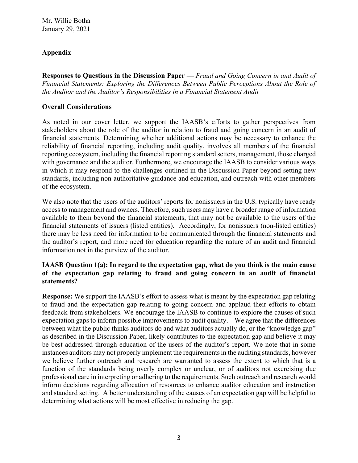# **Appendix**

**Responses to Questions in the Discussion Paper —** *Fraud and Going Concern in and Audit of Financial Statements: Exploring the Differences Between Public Perceptions About the Role of the Auditor and the Auditor's Responsibilities in a Financial Statement Audit* 

#### **Overall Considerations**

As noted in our cover letter, we support the IAASB's efforts to gather perspectives from stakeholders about the role of the auditor in relation to fraud and going concern in an audit of financial statements. Determining whether additional actions may be necessary to enhance the reliability of financial reporting, including audit quality, involves all members of the financial reporting ecosystem, including the financial reporting standard setters, management, those charged with governance and the auditor. Furthermore, we encourage the IAASB to consider various ways in which it may respond to the challenges outlined in the Discussion Paper beyond setting new standards, including non-authoritative guidance and education, and outreach with other members of the ecosystem.

We also note that the users of the auditors' reports for nonissuers in the U.S. typically have ready access to management and owners. Therefore, such users may have a broader range of information available to them beyond the financial statements, that may not be available to the users of the financial statements of issuers (listed entities). Accordingly, for nonissuers (non-listed entities) there may be less need for information to be communicated through the financial statements and the auditor's report, and more need for education regarding the nature of an audit and financial information not in the purview of the auditor.

#### **IAASB Question 1(a): In regard to the expectation gap, what do you think is the main cause of the expectation gap relating to fraud and going concern in an audit of financial statements?**

**Response:** We support the IAASB's effort to assess what is meant by the expectation gap relating to fraud and the expectation gap relating to going concern and applaud their efforts to obtain feedback from stakeholders. We encourage the IAASB to continue to explore the causes of such expectation gaps to inform possible improvements to audit quality. We agree that the differences between what the public thinks auditors do and what auditors actually do, or the "knowledge gap" as described in the Discussion Paper, likely contributes to the expectation gap and believe it may be best addressed through education of the users of the auditor's report. We note that in some instances auditors may not properly implement the requirements in the auditing standards, however we believe further outreach and research are warranted to assess the extent to which that is a function of the standards being overly complex or unclear, or of auditors not exercising due professional care in interpreting or adhering to the requirements. Such outreach and research would inform decisions regarding allocation of resources to enhance auditor education and instruction and standard setting. A better understanding of the causes of an expectation gap will be helpful to determining what actions will be most effective in reducing the gap.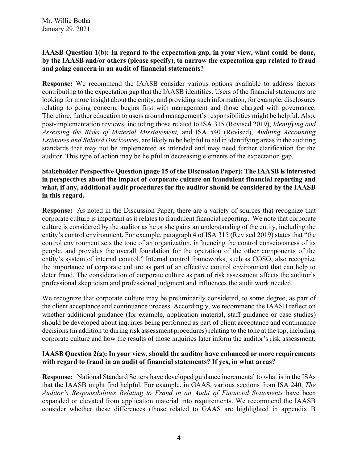## **IAASB Question 1(b): In regard to the expectation gap, in your view, what could be done, by the IAASB and/or others (please specify), to narrow the expectation gap related to fraud and going concern in an audit of financial statements?**

**Response:** We recommend the IAASB consider various options available to address factors contributing to the expectation gap that the IAASB identifies. Users of the financial statements are looking for more insight about the entity, and providing such information, for example, disclosures relating to going concern, begins first with management and those charged with governance. Therefore, further education to users around management's responsibilities might be helpful. Also, post-implementation reviews, including those related to ISA 315 (Revised 2019), *Identifying and Assessing the Risks of Material Misstatement,* and ISA 540 (Revised), *Auditing Accounting Estimates and Related Disclosures*, are likely to be helpful to aid in identifying areas in the auditing standards that may not be implemented as intended and may need further clarification for the auditor. This type of action may be helpful in decreasing elements of the expectation gap.

### **Stakeholder Perspective Question (page 15 of the Discussion Paper): The IAASB is interested in perspectives about the impact of corporate culture on fraudulent financial reporting and what, if any, additional audit procedures for the auditor should be considered by the IAASB in this regard.**

**Response:** As noted in the Discussion Paper, there are a variety of sources that recognize that corporate culture is important as it relates to fraudulent financial reporting. We note that corporate culture is considered by the auditor as he or she gains an understanding of the entity, including the entity's control environment. For example, paragraph 4 of ISA 315 (Revised 2019) states that "the control environment sets the tone of an organization, influencing the control consciousness of its people, and provides the overall foundation for the operation of the other components of the entity's system of internal control." Internal control frameworks, such as COSO, also recognize the importance of corporate culture as part of an effective control environment that can help to deter fraud. The consideration of corporate culture as part of risk assessment affects the auditor's professional skepticism and professional judgment and influences the audit work needed.

We recognize that corporate culture may be preliminarily considered, to some degree, as part of the client acceptance and continuance process. Accordingly, we recommend the IAASB reflect on whether additional guidance (for example, application material, staff guidance or case studies) should be developed about inquiries being performed as part of client acceptance and continuance decisions (in addition to during risk assessment procedures) relating to the tone at the top, including corporate culture and how the results of those inquiries later inform the auditor's risk assessment.

# **IAASB Question 2(a): In your view, should the auditor have enhanced or more requirements with regard to fraud in an audit of financial statements? If yes, in what areas?**

**Response:** National Standard Setters have developed guidance incremental to what is in the ISAs that the IAASB might find helpful. For example, in GAAS, various sections from ISA 240, *The Auditor's Responsibilities Relating to Fraud in an Audit of Financial Statements* have been expanded or elevated from application material into requirements. We recommend the IAASB consider whether these differences (those related to GAAS are highlighted in appendix B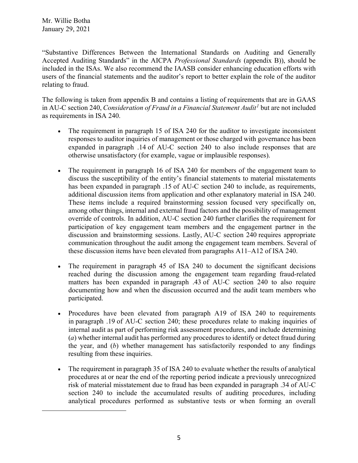"Substantive Differences Between the International Standards on Auditing and Generally Accepted Auditing Standards" in the AICPA *Professional Standards* (appendix B)), should be included in the ISAs. We also recommend the IAASB consider enhancing education efforts with users of the financial statements and the auditor's report to better explain the role of the auditor relating to fraud.

The following is taken from appendix B and contains a listing of requirements that are in GAAS in AU-C section 240, *Consideration of Fraud in a Financial Statement Audit[1](#page-4-0)* but are not included as requirements in ISA 240.

- The requirement in paragraph 15 of ISA 240 for the auditor to investigate inconsistent responses to auditor inquiries of management or those charged with governance has been expanded in paragraph .14 of AU-C section 240 to also include responses that are otherwise unsatisfactory (for example, vague or implausible responses).
- The requirement in paragraph 16 of ISA 240 for members of the engagement team to discuss the susceptibility of the entity's financial statements to material misstatements has been expanded in paragraph .15 of AU-C section 240 to include, as requirements, additional discussion items from application and other explanatory material in ISA 240. These items include a required brainstorming session focused very specifically on, among other things, internal and external fraud factors and the possibility of management override of controls. In addition, AU-C section 240 further clarifies the requirement for participation of key engagement team members and the engagement partner in the discussion and brainstorming sessions. Lastly, AU-C section 240 requires appropriate communication throughout the audit among the engagement team members. Several of these discussion items have been elevated from paragraphs A11–A12 of ISA 240.
- The requirement in paragraph 45 of ISA 240 to document the significant decisions reached during the discussion among the engagement team regarding fraud-related matters has been expanded in paragraph .43 of AU-C section 240 to also require documenting how and when the discussion occurred and the audit team members who participated.
- Procedures have been elevated from paragraph A19 of ISA 240 to requirements in paragraph .19 of AU-C section 240; these procedures relate to making inquiries of internal audit as part of performing risk assessment procedures, and include determining (*a*) whether internal audit has performed any procedures to identify or detect fraud during the year, and (*b*) whether management has satisfactorily responded to any findings resulting from these inquiries.
- <span id="page-4-0"></span>• The requirement in paragraph 35 of ISA 240 to evaluate whether the results of analytical procedures at or near the end of the reporting period indicate a previously unrecognized risk of material misstatement due to fraud has been expanded in paragraph .34 of AU-C section 240 to include the accumulated results of auditing procedures, including analytical procedures performed as substantive tests or when forming an overall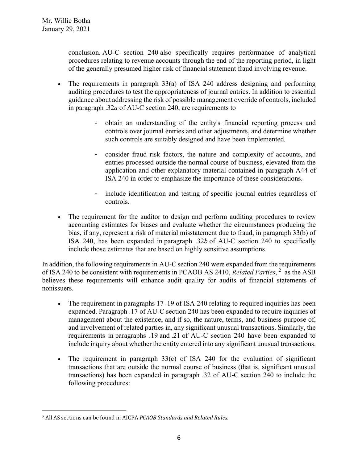conclusion. AU-C section 240 also specifically requires performance of analytical procedures relating to revenue accounts through the end of the reporting period, in light of the generally presumed higher risk of financial statement fraud involving revenue.

- The requirements in paragraph 33(a) of ISA 240 address designing and performing auditing procedures to test the appropriateness of journal entries. In addition to essential guidance about addressing the risk of possible management override of controls, included in paragraph .32*a* of AU-C section 240, are requirements to
	- obtain an understanding of the entity's financial reporting process and controls over journal entries and other adjustments, and determine whether such controls are suitably designed and have been implemented.
	- consider fraud risk factors, the nature and complexity of accounts, and entries processed outside the normal course of business, elevated from the application and other explanatory material contained in paragraph A44 of ISA 240 in order to emphasize the importance of these considerations.
	- include identification and testing of specific journal entries regardless of controls.
- The requirement for the auditor to design and perform auditing procedures to review accounting estimates for biases and evaluate whether the circumstances producing the bias, if any, represent a risk of material misstatement due to fraud, in paragraph 33(b) of ISA 240, has been expanded in paragraph .32*b* of AU-C section 240 to specifically include those estimates that are based on highly sensitive assumptions.

In addition, the following requirements in AU-C section 240 were expanded from the requirements of ISA [2](#page-5-0)40 to be consistent with requirements in PCAOB AS 2410, *Related Parties*, <sup>2</sup> as the ASB believes these requirements will enhance audit quality for audits of financial statements of nonissuers.

- The requirement in paragraphs 17–19 of ISA 240 relating to required inquiries has been expanded. Paragraph .17 of AU-C section 240 has been expanded to require inquiries of management about the existence, and if so, the nature, terms, and business purpose of, and involvement of related parties in, any significant unusual transactions. Similarly, the requirements in paragraphs .19 and .21 of AU-C section 240 have been expanded to include inquiry about whether the entity entered into any significant unusual transactions.
- The requirement in paragraph 33(c) of ISA 240 for the evaluation of significant transactions that are outside the normal course of business (that is, significant unusual transactions) has been expanded in paragraph .32 of AU-C section 240 to include the following procedures:

<span id="page-5-0"></span><sup>2</sup> All AS sections can be found in AICPA *PCAOB Standards and Related Rules*.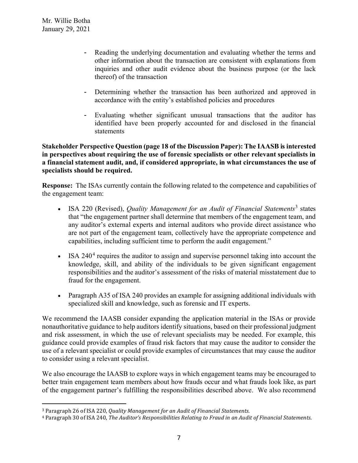- Reading the underlying documentation and evaluating whether the terms and other information about the transaction are consistent with explanations from inquiries and other audit evidence about the business purpose (or the lack thereof) of the transaction
- Determining whether the transaction has been authorized and approved in accordance with the entity's established policies and procedures
- Evaluating whether significant unusual transactions that the auditor has identified have been properly accounted for and disclosed in the financial statements

**Stakeholder Perspective Question (page 18 of the Discussion Paper): The IAASB is interested in perspectives about requiring the use of forensic specialists or other relevant specialists in a financial statement audit, and, if considered appropriate, in what circumstances the use of specialists should be required.** 

**Response:** The ISAs currently contain the following related to the competence and capabilities of the engagement team:

- ISA 220 (Revised), *Quality Management for an Audit of Financial Statements*<sup>[3](#page-6-0)</sup> states that "the engagement partner shall determine that members of the engagement team, and any auditor's external experts and internal auditors who provide direct assistance who are not part of the engagement team, collectively have the appropriate competence and capabilities, including sufficient time to perform the audit engagement."
- ISA  $240<sup>4</sup>$  $240<sup>4</sup>$  $240<sup>4</sup>$  requires the auditor to assign and supervise personnel taking into account the knowledge, skill, and ability of the individuals to be given significant engagement responsibilities and the auditor's assessment of the risks of material misstatement due to fraud for the engagement.
- Paragraph A35 of ISA 240 provides an example for assigning additional individuals with specialized skill and knowledge, such as forensic and IT experts.

We recommend the IAASB consider expanding the application material in the ISAs or provide nonauthoritative guidance to help auditors identify situations, based on their professional judgment and risk assessment, in which the use of relevant specialists may be needed. For example, this guidance could provide examples of fraud risk factors that may cause the auditor to consider the use of a relevant specialist or could provide examples of circumstances that may cause the auditor to consider using a relevant specialist.

We also encourage the IAASB to explore ways in which engagement teams may be encouraged to better train engagement team members about how frauds occur and what frauds look like, as part of the engagement partner's fulfilling the responsibilities described above. We also recommend

<span id="page-6-0"></span><sup>3</sup> Paragraph 26 of ISA 220, *Quality Management for an Audit of Financial Statements*.

<span id="page-6-1"></span><sup>4</sup> Paragraph 30 of ISA 240, *The Auditor's Responsibilities Relating to Fraud in an Audit of Financial Statements*.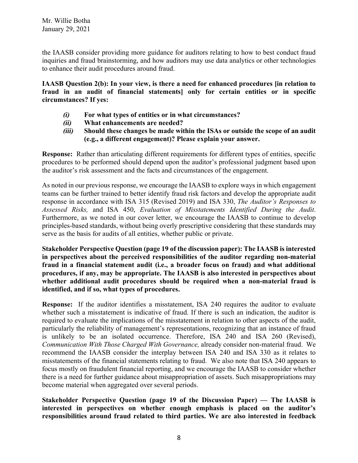the IAASB consider providing more guidance for auditors relating to how to best conduct fraud inquiries and fraud brainstorming, and how auditors may use data analytics or other technologies to enhance their audit procedures around fraud.

**IAASB Question 2(b): In your view, is there a need for enhanced procedures [in relation to fraud in an audit of financial statements] only for certain entities or in specific circumstances? If yes:** 

- *(i)* **For what types of entities or in what circumstances?**
- *(ii)* **What enhancements are needed?**
- *(iii)* **Should these changes be made within the ISAs or outside the scope of an audit (e.g., a different engagement)? Please explain your answer.**

**Response:** Rather than articulating different requirements for different types of entities, specific procedures to be performed should depend upon the auditor's professional judgment based upon the auditor's risk assessment and the facts and circumstances of the engagement.

As noted in our previous response, we encourage the IAASB to explore ways in which engagement teams can be further trained to better identify fraud risk factors and develop the appropriate audit response in accordance with ISA 315 (Revised 2019) and ISA 330, *The Auditor's Responses to Assessed Risks,* and ISA 450, *Evaluation of Misstatements Identified During the Audit*. Furthermore, as we noted in our cover letter, we encourage the IAASB to continue to develop principles-based standards, without being overly prescriptive considering that these standards may serve as the basis for audits of all entities, whether public or private.

**Stakeholder Perspective Question (page 19 of the discussion paper): The IAASB is interested in perspectives about the perceived responsibilities of the auditor regarding non-material fraud in a financial statement audit (i.e., a broader focus on fraud) and what additional procedures, if any, may be appropriate. The IAASB is also interested in perspectives about whether additional audit procedures should be required when a non-material fraud is identified, and if so, what types of procedures.** 

**Response:** If the auditor identifies a misstatement, ISA 240 requires the auditor to evaluate whether such a misstatement is indicative of fraud. If there is such an indication, the auditor is required to evaluate the implications of the misstatement in relation to other aspects of the audit, particularly the reliability of management's representations, recognizing that an instance of fraud is unlikely to be an isolated occurrence. Therefore, ISA 240 and ISA 260 (Revised), *Communication With Those Charged With Governance,* already consider non-material fraud. We recommend the IAASB consider the interplay between ISA 240 and ISA 330 as it relates to misstatements of the financial statements relating to fraud. We also note that ISA 240 appears to focus mostly on fraudulent financial reporting, and we encourage the IAASB to consider whether there is a need for further guidance about misappropriation of assets. Such misappropriations may become material when aggregated over several periods.

**Stakeholder Perspective Question (page 19 of the Discussion Paper) — The IAASB is interested in perspectives on whether enough emphasis is placed on the auditor's responsibilities around fraud related to third parties. We are also interested in feedback**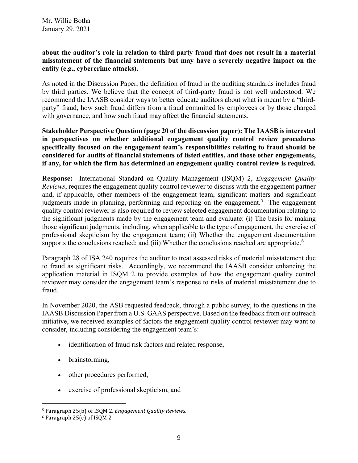Mr. Willie Botha January 29, 2021

### **about the auditor's role in relation to third party fraud that does not result in a material misstatement of the financial statements but may have a severely negative impact on the entity (e.g., cybercrime attacks).**

As noted in the Discussion Paper, the definition of fraud in the auditing standards includes fraud by third parties. We believe that the concept of third-party fraud is not well understood. We recommend the IAASB consider ways to better educate auditors about what is meant by a "thirdparty" fraud, how such fraud differs from a fraud committed by employees or by those charged with governance, and how such fraud may affect the financial statements.

**Stakeholder Perspective Question (page 20 of the discussion paper): The IAASB is interested in perspectives on whether additional engagement quality control review procedures specifically focused on the engagement team's responsibilities relating to fraud should be considered for audits of financial statements of listed entities, and those other engagements, if any, for which the firm has determined an engagement quality control review is required.** 

**Response:** International Standard on Quality Management (ISQM) 2, *Engagement Quality Reviews*, requires the engagement quality control reviewer to discuss with the engagement partner and, if applicable, other members of the engagement team, significant matters and significant judgments made in planning, performing and reporting on the engagement.<sup>[5](#page-8-0)</sup> The engagement quality control reviewer is also required to review selected engagement documentation relating to the significant judgments made by the engagement team and evaluate: (i) The basis for making those significant judgments, including, when applicable to the type of engagement, the exercise of professional skepticism by the engagement team; (ii) Whether the engagement documentation supports the conclusions reached; and (iii) Whether the conclusions reached are appropriate.<sup>[6](#page-8-1)</sup>

Paragraph 28 of ISA 240 requires the auditor to treat assessed risks of material misstatement due to fraud as significant risks. Accordingly, we recommend the IAASB consider enhancing the application material in ISQM 2 to provide examples of how the engagement quality control reviewer may consider the engagement team's response to risks of material misstatement due to fraud.

In November 2020, the ASB requested feedback, through a public survey, to the questions in the IAASB Discussion Paper from a U.S. GAAS perspective. Based on the feedback from our outreach initiative, we received examples of factors the engagement quality control reviewer may want to consider, including considering the engagement team's:

- identification of fraud risk factors and related response,
- brainstorming,
- other procedures performed,
- exercise of professional skepticism, and

<span id="page-8-0"></span><sup>5</sup> Paragraph 25(b) of ISQM 2, *Engagement Quality Reviews*.

<span id="page-8-1"></span><sup>6</sup> Paragraph 25(c) of ISQM 2.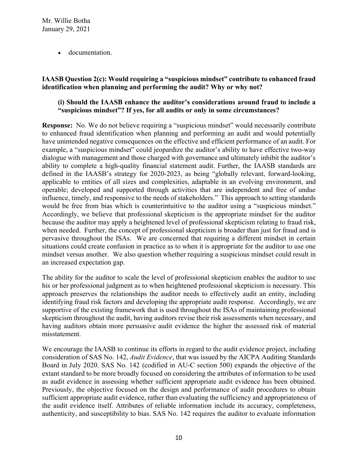• documentation.

## **IAASB Question 2(c): Would requiring a "suspicious mindset" contribute to enhanced fraud identification when planning and performing the audit? Why or why not?**

## **(i) Should the IAASB enhance the auditor's considerations around fraud to include a "suspicious mindset"? If yes, for all audits or only in some circumstances?**

**Response:** No. We do not believe requiring a "suspicious mindset" would necessarily contribute to enhanced fraud identification when planning and performing an audit and would potentially have unintended negative consequences on the effective and efficient performance of an audit. For example, a "suspicious mindset" could jeopardize the auditor's ability to have effective two-way dialogue with management and those charged with governance and ultimately inhibit the auditor's ability to complete a high-quality financial statement audit. Further, the IAASB standards are defined in the IAASB's strategy for 2020-2023, as being "globally relevant, forward-looking, applicable to entities of all sizes and complexities, adaptable in an evolving environment, and operable; developed and supported through activities that are independent and free of undue influence, timely, and responsive to the needs of stakeholders." This approach to setting standards would be free from bias which is counterintuitive to the auditor using a "suspicious mindset." Accordingly, we believe that professional skepticism is the appropriate mindset for the auditor because the auditor may apply a heightened level of professional skepticism relating to fraud risk, when needed. Further, the concept of professional skepticism is broader than just for fraud and is pervasive throughout the ISAs. We are concerned that requiring a different mindset in certain situations could create confusion in practice as to when it is appropriate for the auditor to use one mindset versus another. We also question whether requiring a suspicious mindset could result in an increased expectation gap.

The ability for the auditor to scale the level of professional skepticism enables the auditor to use his or her professional judgment as to when heightened professional skepticism is necessary. This approach preserves the relationships the auditor needs to effectively audit an entity, including identifying fraud risk factors and developing the appropriate audit response. Accordingly, we are supportive of the existing framework that is used throughout the ISAs of maintaining professional skepticism throughout the audit, having auditors revise their risk assessments when necessary, and having auditors obtain more persuasive audit evidence the higher the assessed risk of material misstatement.

We encourage the IAASB to continue its efforts in regard to the audit evidence project, including consideration of SAS No. 142, *Audit Evidence*, that was issued by the AICPA Auditing Standards Board in July 2020. SAS No. 142 (codified in AU-C section 500) expands the objective of the extant standard to be more broadly focused on considering the attributes of information to be used as audit evidence in assessing whether sufficient appropriate audit evidence has been obtained. Previously, the objective focused on the design and performance of audit procedures to obtain sufficient appropriate audit evidence, rather than evaluating the sufficiency and appropriateness of the audit evidence itself. Attributes of reliable information include its accuracy, completeness, authenticity, and susceptibility to bias. SAS No. 142 requires the auditor to evaluate information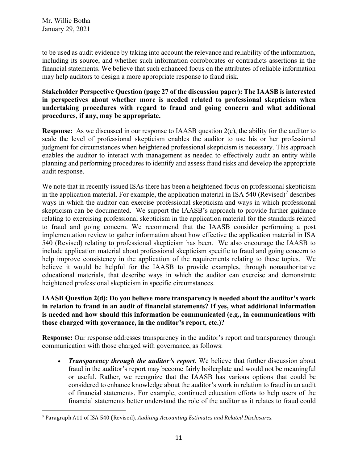to be used as audit evidence by taking into account the relevance and reliability of the information, including its source, and whether such information corroborates or contradicts assertions in the financial statements. We believe that such enhanced focus on the attributes of reliable information may help auditors to design a more appropriate response to fraud risk.

**Stakeholder Perspective Question (page 27 of the discussion paper): The IAASB is interested in perspectives about whether more is needed related to professional skepticism when undertaking procedures with regard to fraud and going concern and what additional procedures, if any, may be appropriate.** 

**Response:** As we discussed in our response to IAASB question 2(c), the ability for the auditor to scale the level of professional skepticism enables the auditor to use his or her professional judgment for circumstances when heightened professional skepticism is necessary. This approach enables the auditor to interact with management as needed to effectively audit an entity while planning and performing procedures to identify and assess fraud risks and develop the appropriate audit response.

We note that in recently issued ISAs there has been a heightened focus on professional skepticism in the application material. For example, the application material in ISA 540 (Revised)*[7](#page-10-0)* describes ways in which the auditor can exercise professional skepticism and ways in which professional skepticism can be documented. We support the IAASB's approach to provide further guidance relating to exercising professional skepticism in the application material for the standards related to fraud and going concern. We recommend that the IAASB consider performing a post implementation review to gather information about how effective the application material in ISA 540 (Revised) relating to professional skepticism has been. We also encourage the IAASB to include application material about professional skepticism specific to fraud and going concern to help improve consistency in the application of the requirements relating to these topics. We believe it would be helpful for the IAASB to provide examples, through nonauthoritative educational materials, that describe ways in which the auditor can exercise and demonstrate heightened professional skepticism in specific circumstances.

# **IAASB Question 2(d): Do you believe more transparency is needed about the auditor's work in relation to fraud in an audit of financial statements? If yes, what additional information is needed and how should this information be communicated (e.g., in communications with those charged with governance, in the auditor's report, etc.)?**

**Response:** Our response addresses transparency in the auditor's report and transparency through communication with those charged with governance, as follows:

• *Transparency through the auditor's report*. We believe that further discussion about fraud in the auditor's report may become fairly boilerplate and would not be meaningful or useful. Rather, we recognize that the IAASB has various options that could be considered to enhance knowledge about the auditor's work in relation to fraud in an audit of financial statements. For example, continued education efforts to help users of the financial statements better understand the role of the auditor as it relates to fraud could

<span id="page-10-0"></span><sup>7</sup> Paragraph A11 of ISA 540 (Revised), *Auditing Accounting Estimates and Related Disclosures*.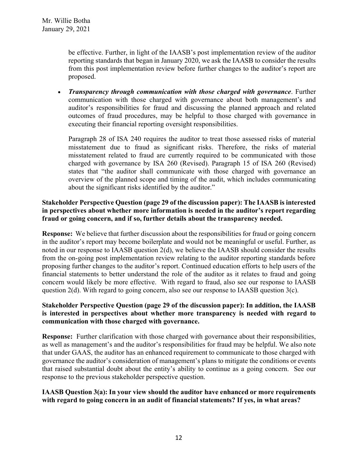be effective. Further, in light of the IAASB's post implementation review of the auditor reporting standards that began in January 2020, we ask the IAASB to consider the results from this post implementation review before further changes to the auditor's report are proposed.

• *Transparency through communication with those charged with governance*. Further communication with those charged with governance about both management's and auditor's responsibilities for fraud and discussing the planned approach and related outcomes of fraud procedures, may be helpful to those charged with governance in executing their financial reporting oversight responsibilities.

Paragraph 28 of ISA 240 requires the auditor to treat those assessed risks of material misstatement due to fraud as significant risks. Therefore, the risks of material misstatement related to fraud are currently required to be communicated with those charged with governance by ISA 260 (Revised). Paragraph 15 of ISA 260 (Revised) states that "the auditor shall communicate with those charged with governance an overview of the planned scope and timing of the audit, which includes communicating about the significant risks identified by the auditor."

## **Stakeholder Perspective Question (page 29 of the discussion paper): The IAASB is interested in perspectives about whether more information is needed in the auditor's report regarding fraud or going concern, and if so, further details about the transparency needed.**

**Response:** We believe that further discussion about the responsibilities for fraud or going concern in the auditor's report may become boilerplate and would not be meaningful or useful. Further, as noted in our response to IAASB question 2(d), we believe the IAASB should consider the results from the on-going post implementation review relating to the auditor reporting standards before proposing further changes to the auditor's report. Continued education efforts to help users of the financial statements to better understand the role of the auditor as it relates to fraud and going concern would likely be more effective. With regard to fraud, also see our response to IAASB question 2(d). With regard to going concern, also see our response to IAASB question 3(c).

## **Stakeholder Perspective Question (page 29 of the discussion paper): In addition, the IAASB is interested in perspectives about whether more transparency is needed with regard to communication with those charged with governance.**

**Response:** Further clarification with those charged with governance about their responsibilities, as well as management's and the auditor's responsibilities for fraud may be helpful. We also note that under GAAS, the auditor has an enhanced requirement to communicate to those charged with governance the auditor's consideration of management's plans to mitigate the conditions or events that raised substantial doubt about the entity's ability to continue as a going concern. See our response to the previous stakeholder perspective question.

# **IAASB Question 3(a): In your view should the auditor have enhanced or more requirements with regard to going concern in an audit of financial statements? If yes, in what areas?**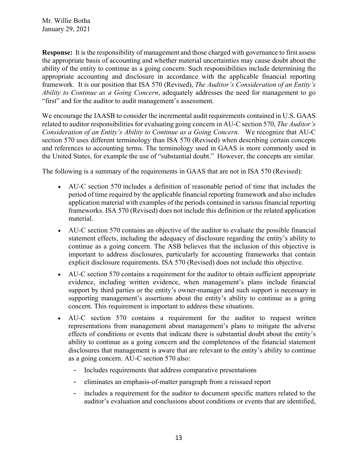Mr. Willie Botha January 29, 2021

**Response:** It is the responsibility of management and those charged with governance to first assess the appropriate basis of accounting and whether material uncertainties may cause doubt about the ability of the entity to continue as a going concern. Such responsibilities include determining the appropriate accounting and disclosure in accordance with the applicable financial reporting framework. It is our position that ISA 570 (Revised), *The Auditor's Consideration of an Entity's Ability to Continue as a Going Concern*, adequately addresses the need for management to go "first" and for the auditor to audit management's assessment.

We encourage the IAASB to consider the incremental audit requirements contained in U.S. GAAS related to auditor responsibilities for evaluating going concern in AU-C section 570, *The Auditor's Consideration of an Entity's Ability to Continue as a Going Concern*. We recognize that AU-C section 570 uses different terminology than ISA 570 (Revised) when describing certain concepts and references to accounting terms. The terminology used in GAAS is more commonly used in the United States, for example the use of "substantial doubt." However, the concepts are similar.

The following is a summary of the requirements in GAAS that are not in ISA 570 (Revised):

- AU-C section 570 includes a definition of reasonable period of time that includes the period of time required by the applicable financial reporting framework and also includes application material with examples of the periods contained in various financial reporting frameworks. ISA 570 (Revised) does not include this definition or the related application material.
- AU-C section 570 contains an objective of the auditor to evaluate the possible financial statement effects, including the adequacy of disclosure regarding the entity's ability to continue as a going concern. The ASB believes that the inclusion of this objective is important to address disclosures, particularly for accounting frameworks that contain explicit disclosure requirements. ISA 570 (Revised) does not include this objective.
- AU-C section 570 contains a requirement for the auditor to obtain sufficient appropriate evidence, including written evidence, when management's plans include financial support by third parties or the entity's owner-manager and such support is necessary in supporting management's assertions about the entity's ability to continue as a going concern. This requirement is important to address these situations.
- AU-C section 570 contains a requirement for the auditor to request written representations from management about management's plans to mitigate the adverse effects of conditions or events that indicate there is substantial doubt about the entity's ability to continue as a going concern and the completeness of the financial statement disclosures that management is aware that are relevant to the entity's ability to continue as a going concern. AU-C section 570 also:
	- Includes requirements that address comparative presentations
	- eliminates an emphasis-of-matter paragraph from a reissued report
	- includes a requirement for the auditor to document specific matters related to the auditor's evaluation and conclusions about conditions or events that are identified,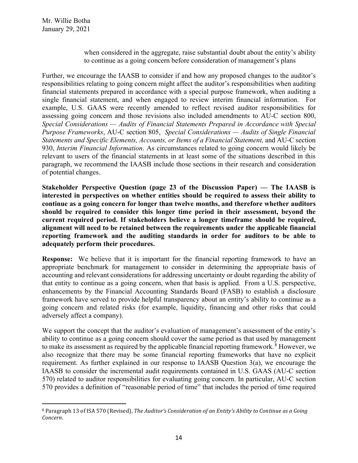when considered in the aggregate, raise substantial doubt about the entity's ability to continue as a going concern before consideration of management's plans

Further, we encourage the IAASB to consider if and how any proposed changes to the auditor's responsibilities relating to going concern might affect the auditor's responsibilities when auditing financial statements prepared in accordance with a special purpose framework, when auditing a single financial statement, and when engaged to review interim financial information. For example, U.S. GAAS were recently amended to reflect revised auditor responsibilities for assessing going concern and those revisions also included amendments to AU-C section 800, *Special Considerations — Audits of Financial Statements Prepared in Accordance with Special Purpose Frameworks*, AU-C section 805, *Special Considerations — Audits of Single Financial Statements and Specific Elements, Accounts, or Items of a Financial Statement,* and AU-C section 930, *Interim Financial Information*. As circumstances related to going concern would likely be relevant to users of the financial statements in at least some of the situations described in this paragraph, we recommend the IAASB include those sections in their research and consideration of potential changes.

**Stakeholder Perspective Question (page 23 of the Discussion Paper) — The IAASB is interested in perspectives on whether entities should be required to assess their ability to continue as a going concern for longer than twelve months, and therefore whether auditors should be required to consider this longer time period in their assessment, beyond the current required period. If stakeholders believe a longer timeframe should be required, alignment will need to be retained between the requirements under the applicable financial reporting framework and the auditing standards in order for auditors to be able to adequately perform their procedures.**

**Response:** We believe that it is important for the financial reporting framework to have an appropriate benchmark for management to consider in determining the appropriate basis of accounting and relevant considerations for addressing uncertainty or doubt regarding the ability of that entity to continue as a going concern, when that basis is applied. From a U.S. perspective, enhancements by the Financial Accounting Standards Board (FASB) to establish a disclosure framework have served to provide helpful transparency about an entity's ability to continue as a going concern and related risks (for example, liquidity, financing and other risks that could adversely affect a company).

We support the concept that the auditor's evaluation of management's assessment of the entity's ability to continue as a going concern should cover the same period as that used by management to make its assessment as required by the applicable financial reporting framework.<sup>[8](#page-13-0)</sup> However, we also recognize that there may be some financial reporting frameworks that have no explicit requirement. As further explained in our response to IAASB Question 3(a), we encourage the IAASB to consider the incremental audit requirements contained in U.S. GAAS (AU-C section 570) related to auditor responsibilities for evaluating going concern. In particular, AU-C section 570 provides a definition of "reasonable period of time" that includes the period of time required

<span id="page-13-0"></span><sup>8</sup> Paragraph 13 of ISA 570 (Revised), *The Auditor's Consideration of an Entity's Ability to Continue as a Going Concern*.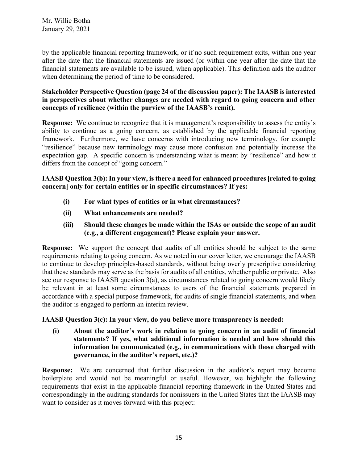by the applicable financial reporting framework, or if no such requirement exits, within one year after the date that the financial statements are issued (or within one year after the date that the financial statements are available to be issued, when applicable). This definition aids the auditor when determining the period of time to be considered.

# **Stakeholder Perspective Question (page 24 of the discussion paper): The IAASB is interested in perspectives about whether changes are needed with regard to going concern and other concepts of resilience (within the purview of the IAASB's remit).**

**Response:** We continue to recognize that it is management's responsibility to assess the entity's ability to continue as a going concern, as established by the applicable financial reporting framework. Furthermore, we have concerns with introducing new terminology, for example "resilience" because new terminology may cause more confusion and potentially increase the expectation gap. A specific concern is understanding what is meant by "resilience" and how it differs from the concept of "going concern."

**IAASB Question 3(b): In your view, is there a need for enhanced procedures [related to going concern] only for certain entities or in specific circumstances? If yes:**

- **(i) For what types of entities or in what circumstances?**
- **(ii) What enhancements are needed?**
- **(iii) Should these changes be made within the ISAs or outside the scope of an audit (e.g., a different engagement)? Please explain your answer.**

**Response:** We support the concept that audits of all entities should be subject to the same requirements relating to going concern. As we noted in our cover letter, we encourage the IAASB to continue to develop principles-based standards, without being overly prescriptive considering that these standards may serve as the basis for audits of all entities, whether public or private. Also see our response to IAASB question  $3(a)$ , as circumstances related to going concern would likely be relevant in at least some circumstances to users of the financial statements prepared in accordance with a special purpose framework, for audits of single financial statements, and when the auditor is engaged to perform an interim review.

**IAASB Question 3(c): In your view, do you believe more transparency is needed:** 

**(i) About the auditor's work in relation to going concern in an audit of financial statements? If yes, what additional information is needed and how should this information be communicated (e.g., in communications with those charged with governance, in the auditor's report, etc.)?**

**Response:** We are concerned that further discussion in the auditor's report may become boilerplate and would not be meaningful or useful. However, we highlight the following requirements that exist in the applicable financial reporting framework in the United States and correspondingly in the auditing standards for nonissuers in the United States that the IAASB may want to consider as it moves forward with this project: